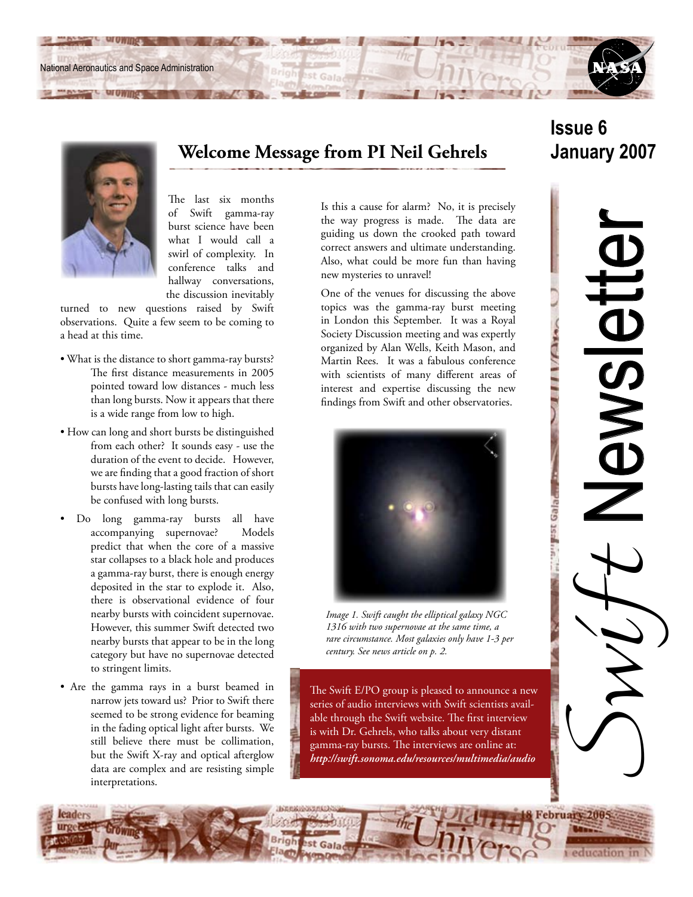National Aeronautics and Space Administration



**Welcome Message from PI Neil Gehrels**

The last six months of Swift gamma-ray burst science have been what I would call a swirl of complexity. In conference talks and hallway conversations, the discussion inevitably

turned to new questions raised by Swift observations. Quite a few seem to be coming to a head at this time.

- What is the distance to short gamma-ray bursts? The first distance measurements in 2005 pointed toward low distances - much less than long bursts. Now it appears that there is a wide range from low to high.
- How can long and short bursts be distinguished from each other? It sounds easy - use the duration of the event to decide. However, we are finding that a good fraction of short bursts have long-lasting tails that can easily be confused with long bursts.
- Do long gamma-ray bursts all have accompanying supernovae? Models predict that when the core of a massive star collapses to a black hole and produces a gamma-ray burst, there is enough energy deposited in the star to explode it. Also, there is observational evidence of four nearby bursts with coincident supernovae. However, this summer Swift detected two nearby bursts that appear to be in the long category but have no supernovae detected to stringent limits.
- Are the gamma rays in a burst beamed in narrow jets toward us? Prior to Swift there seemed to be strong evidence for beaming in the fading optical light after bursts. We still believe there must be collimation, but the Swift X-ray and optical afterglow data are complex and are resisting simple interpretations.

Is this a cause for alarm? No, it is precisely the way progress is made. The data are guiding us down the crooked path toward correct answers and ultimate understanding. Also, what could be more fun than having new mysteries to unravel!

One of the venues for discussing the above topics was the gamma-ray burst meeting in London this September. It was a Royal Society Discussion meeting and was expertly organized by Alan Wells, Keith Mason, and Martin Rees. It was a fabulous conference with scientists of many different areas of interest and expertise discussing the new findings from Swift and other observatories.



*Image 1. Swift caught the elliptical galaxy NGC 1316 with two supernovae at the same time, a rare circumstance. Most galaxies only have 1-3 per century. See news article on p. 2.*

The Swift E/PO group is pleased to announce a new series of audio interviews with Swift scientists available through the Swift website. The first interview is with Dr. Gehrels, who talks about very distant gamma-ray bursts. The interviews are online at: *http://swift.sonoma.edu/resources/multimedia/audio*

# **Issue 6 January 2007**

 $11/1110$ 

an eleo asa <sub>ma</sub>

Swyt Newsletter Newsicht

education in

February 200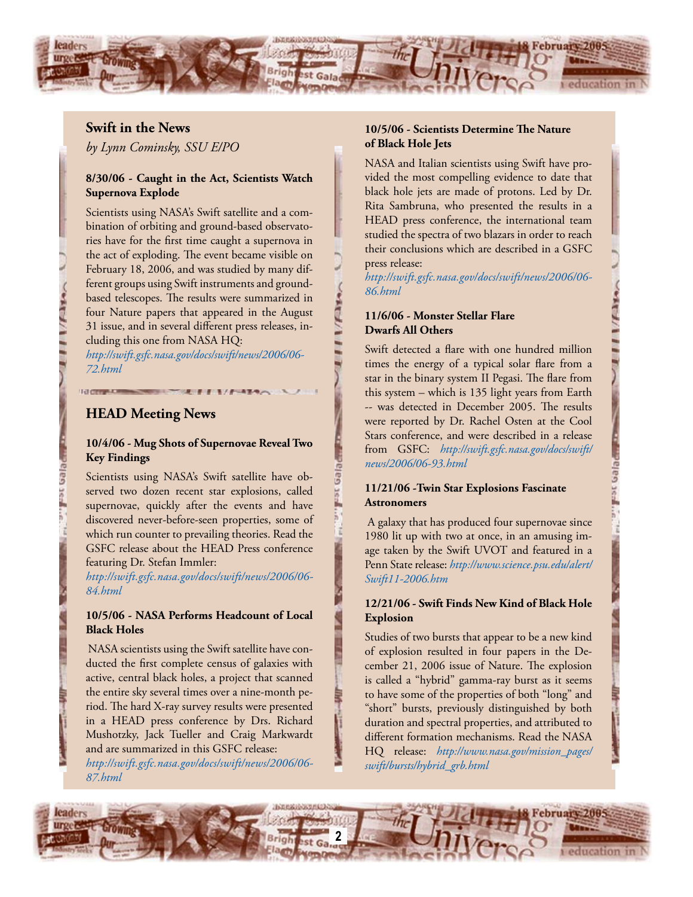

 $1/(\Delta x)$ 

Latin Peps 1sal

#### **Swift in the News**

*by Lynn Cominsky, SSU E/PO*

#### **8/30/06 - Caught in the Act, Scientists Watch Supernova Explode**

Scientists using NASA's Swift satellite and a combination of orbiting and ground-based observatories have for the first time caught a supernova in the act of exploding. The event became visible on February 18, 2006, and was studied by many different groups using Swift instruments and groundbased telescopes. The results were summarized in four Nature papers that appeared in the August 31 issue, and in several different press releases, including this one from NASA HQ:

*http://swift.gsfc.nasa.gov/docs/swift/news/2006/06- 72.html*

#### **HEAD Meeting News**

#### **10/4/06 - Mug Shots of Supernovae Reveal Two Key Findings**

Scientists using NASA's Swift satellite have observed two dozen recent star explosions, called supernovae, quickly after the events and have discovered never-before-seen properties, some of which run counter to prevailing theories. Read the GSFC release about the HEAD Press conference featuring Dr. Stefan Immler:

*http://swift.gsfc.nasa.gov/docs/swift/news/2006/06- 84.html*

#### **10/5/06 - NASA Performs Headcount of Local Black Holes**

 NASA scientists using the Swift satellite have conducted the first complete census of galaxies with active, central black holes, a project that scanned the entire sky several times over a nine-month period. The hard X-ray survey results were presented in a HEAD press conference by Drs. Richard Mushotzky, Jack Tueller and Craig Markwardt and are summarized in this GSFC release: *http://swift.gsfc.nasa.gov/docs/swift/news/2006/06- 87.html*

#### **10/5/06 - Scientists Determine The Nature of Black Hole Jets**

NASA and Italian scientists using Swift have provided the most compelling evidence to date that black hole jets are made of protons. Led by Dr. Rita Sambruna, who presented the results in a HEAD press conference, the international team studied the spectra of two blazars in order to reach their conclusions which are described in a GSFC press release:

*http://swift.gsfc.nasa.gov/docs/swift/news/2006/06- 86.html*

### **11/6/06 - Monster Stellar Flare Dwarfs All Others**

Swift detected a flare with one hundred million times the energy of a typical solar flare from a star in the binary system II Pegasi. The flare from this system – which is 135 light years from Earth -- was detected in December 2005. The results were reported by Dr. Rachel Osten at the Cool Stars conference, and were described in a release from GSFC: *http://swift.gsfc.nasa.gov/docs/swift/ news/2006/06-93.html*

#### **11/21/06 -Twin Star Explosions Fascinate Astronomers**

 A galaxy that has produced four supernovae since 1980 lit up with two at once, in an amusing image taken by the Swift UVOT and featured in a Penn State release: *http://www.science.psu.edu/alert/ Swift11-2006.htm*

#### **12/21/06 - Swift Finds New Kind of Black Hole Explosion**

Studies of two bursts that appear to be a new kind of explosion resulted in four papers in the December 21, 2006 issue of Nature. The explosion is called a "hybrid" gamma-ray burst as it seems to have some of the properties of both "long" and "short" bursts, previously distinguished by both duration and spectral properties, and attributed to different formation mechanisms. Read the NASA HQ release: *http://www.nasa.gov/mission\_pages/ swift/bursts/hybrid\_grb.html*

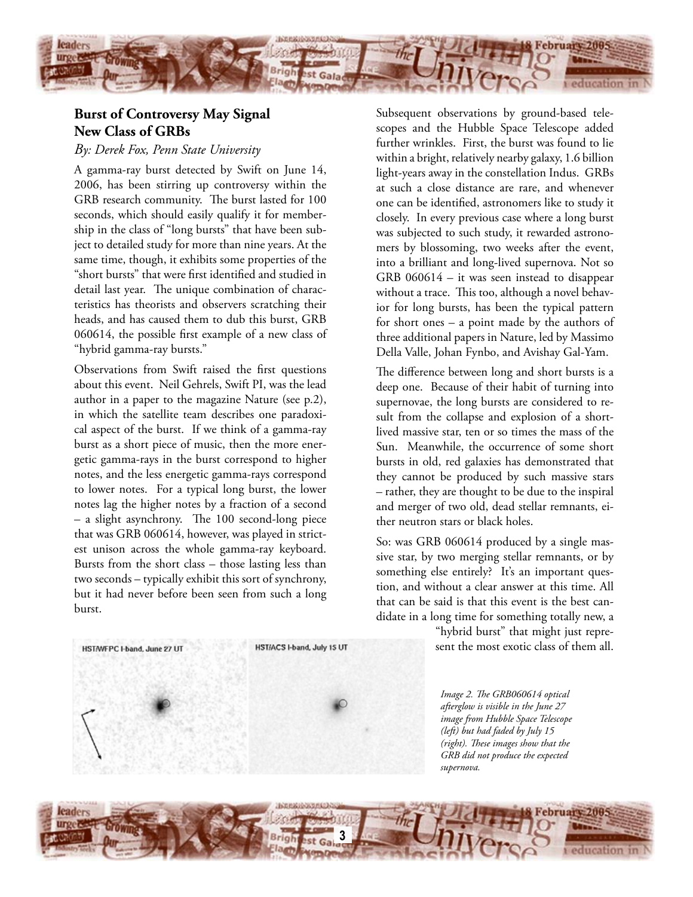

# **Burst of Controversy May Signal New Class of GRBs**

### *By: Derek Fox, Penn State University*

A gamma-ray burst detected by Swift on June 14, 2006, has been stirring up controversy within the GRB research community. The burst lasted for 100 seconds, which should easily qualify it for membership in the class of "long bursts" that have been subject to detailed study for more than nine years. At the same time, though, it exhibits some properties of the "short bursts" that were first identified and studied in detail last year. The unique combination of characteristics has theorists and observers scratching their heads, and has caused them to dub this burst, GRB 060614, the possible first example of a new class of "hybrid gamma-ray bursts."

Observations from Swift raised the first questions about this event. Neil Gehrels, Swift PI, was the lead author in a paper to the magazine Nature (see p.2), in which the satellite team describes one paradoxical aspect of the burst. If we think of a gamma-ray burst as a short piece of music, then the more energetic gamma-rays in the burst correspond to higher notes, and the less energetic gamma-rays correspond to lower notes. For a typical long burst, the lower notes lag the higher notes by a fraction of a second – a slight asynchrony. The 100 second-long piece that was GRB 060614, however, was played in strictest unison across the whole gamma-ray keyboard. Bursts from the short class – those lasting less than two seconds – typically exhibit this sort of synchrony, but it had never before been seen from such a long burst.

HST/ACS I-band, July 15 UT HST/WFPC I-band, June 27 UT

Subsequent observations by ground-based telescopes and the Hubble Space Telescope added further wrinkles. First, the burst was found to lie within a bright, relatively nearby galaxy, 1.6 billion light-years away in the constellation Indus. GRBs at such a close distance are rare, and whenever one can be identified, astronomers like to study it closely. In every previous case where a long burst was subjected to such study, it rewarded astronomers by blossoming, two weeks after the event, into a brilliant and long-lived supernova. Not so GRB 060614 – it was seen instead to disappear without a trace. This too, although a novel behavior for long bursts, has been the typical pattern for short ones – a point made by the authors of three additional papers in Nature, led by Massimo Della Valle, Johan Fynbo, and Avishay Gal-Yam.

The difference between long and short bursts is a deep one. Because of their habit of turning into supernovae, the long bursts are considered to result from the collapse and explosion of a shortlived massive star, ten or so times the mass of the Sun. Meanwhile, the occurrence of some short bursts in old, red galaxies has demonstrated that they cannot be produced by such massive stars – rather, they are thought to be due to the inspiral and merger of two old, dead stellar remnants, either neutron stars or black holes.

So: was GRB 060614 produced by a single massive star, by two merging stellar remnants, or by something else entirely? It's an important question, and without a clear answer at this time. All that can be said is that this event is the best candidate in a long time for something totally new, a

> "hybrid burst" that might just represent the most exotic class of them all.

*Image 2. The GRB060614 optical afterglow is visible in the June 27 image from Hubble Space Telescope (left) but had faded by July 15 (right). These images show that the GRB did not produce the expected supernova.*

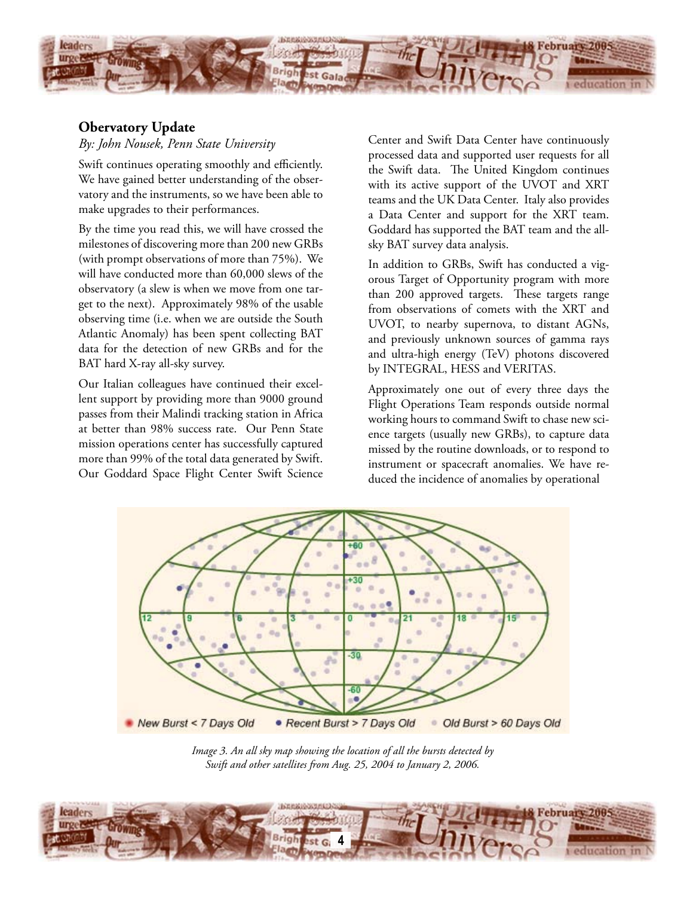

## **Obervatory Update**

*By: John Nousek, Penn State University*

Swift continues operating smoothly and efficiently. We have gained better understanding of the observatory and the instruments, so we have been able to make upgrades to their performances.

By the time you read this, we will have crossed the milestones of discovering more than 200 new GRBs (with prompt observations of more than 75%). We will have conducted more than 60,000 slews of the observatory (a slew is when we move from one target to the next). Approximately 98% of the usable observing time (i.e. when we are outside the South Atlantic Anomaly) has been spent collecting BAT data for the detection of new GRBs and for the BAT hard X-ray all-sky survey.

Our Italian colleagues have continued their excellent support by providing more than 9000 ground passes from their Malindi tracking station in Africa at better than 98% success rate. Our Penn State mission operations center has successfully captured more than 99% of the total data generated by Swift. Our Goddard Space Flight Center Swift Science Center and Swift Data Center have continuously processed data and supported user requests for all the Swift data. The United Kingdom continues with its active support of the UVOT and XRT teams and the UK Data Center. Italy also provides a Data Center and support for the XRT team. Goddard has supported the BAT team and the allsky BAT survey data analysis.

In addition to GRBs, Swift has conducted a vigorous Target of Opportunity program with more than 200 approved targets. These targets range from observations of comets with the XRT and UVOT, to nearby supernova, to distant AGNs, and previously unknown sources of gamma rays and ultra-high energy (TeV) photons discovered by INTEGRAL, HESS and VERITAS.

Approximately one out of every three days the Flight Operations Team responds outside normal working hours to command Swift to chase new science targets (usually new GRBs), to capture data missed by the routine downloads, or to respond to instrument or spacecraft anomalies. We have reduced the incidence of anomalies by operational



*Image 3. An all sky map showing the location of all the bursts detected by Swift and other satellites from Aug. 25, 2004 to January 2, 2006.*

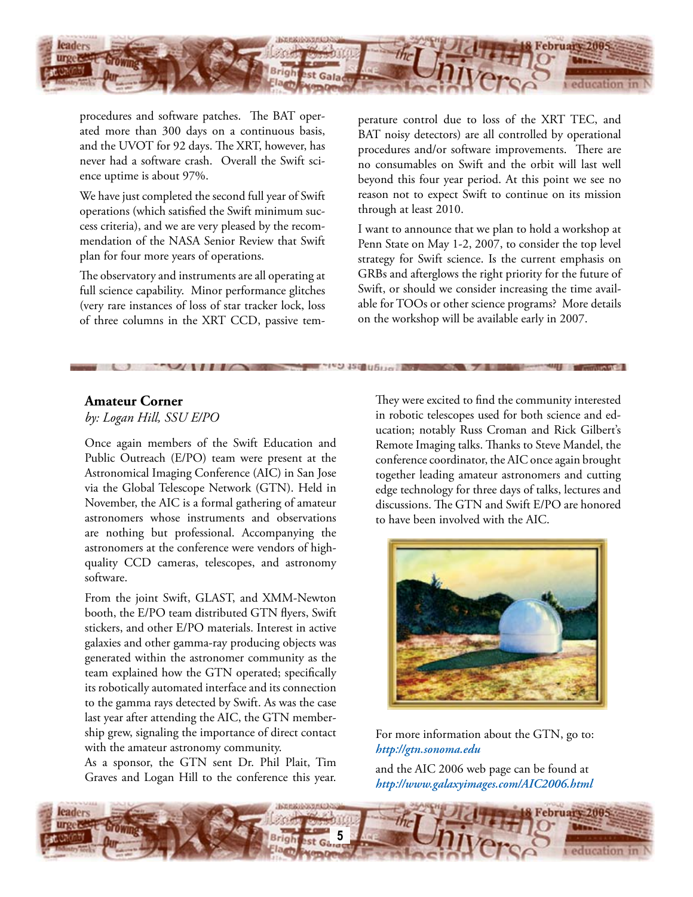

procedures and software patches. The BAT operated more than 300 days on a continuous basis, and the UVOT for 92 days. The XRT, however, has never had a software crash. Overall the Swift science uptime is about 97%.

We have just completed the second full year of Swift operations (which satisfied the Swift minimum success criteria), and we are very pleased by the recommendation of the NASA Senior Review that Swift plan for four more years of operations.

The observatory and instruments are all operating at full science capability. Minor performance glitches (very rare instances of loss of star tracker lock, loss of three columns in the XRT CCD, passive temperature control due to loss of the XRT TEC, and BAT noisy detectors) are all controlled by operational procedures and/or software improvements. There are no consumables on Swift and the orbit will last well beyond this four year period. At this point we see no reason not to expect Swift to continue on its mission through at least 2010.

I want to announce that we plan to hold a workshop at Penn State on May 1-2, 2007, to consider the top level strategy for Swift science. Is the current emphasis on GRBs and afterglows the right priority for the future of Swift, or should we consider increasing the time available for TOOs or other science programs? More details on the workshop will be available early in 2007.

# **Amateur Corner**

*by: Logan Hill, SSU E/PO*

Once again members of the Swift Education and Public Outreach (E/PO) team were present at the Astronomical Imaging Conference (AIC) in San Jose via the Global Telescope Network (GTN). Held in November, the AIC is a formal gathering of amateur astronomers whose instruments and observations are nothing but professional. Accompanying the astronomers at the conference were vendors of highquality CCD cameras, telescopes, and astronomy software.

From the joint Swift, GLAST, and XMM-Newton booth, the E/PO team distributed GTN flyers, Swift stickers, and other E/PO materials. Interest in active galaxies and other gamma-ray producing objects was generated within the astronomer community as the team explained how the GTN operated; specifically its robotically automated interface and its connection to the gamma rays detected by Swift. As was the case last year after attending the AIC, the GTN membership grew, signaling the importance of direct contact with the amateur astronomy community.

As a sponsor, the GTN sent Dr. Phil Plait, Tim Graves and Logan Hill to the conference this year.

They were excited to find the community interested in robotic telescopes used for both science and education; notably Russ Croman and Rick Gilbert's Remote Imaging talks. Thanks to Steve Mandel, the conference coordinator, the AIC once again brought together leading amateur astronomers and cutting edge technology for three days of talks, lectures and discussions. The GTN and Swift E/PO are honored to have been involved with the AIC.



#### For more information about the GTN, go to: *http://gtn.sonoma.edu*

and the AIC 2006 web page can be found at *http://www.galaxyimages.com/AIC2006.html*

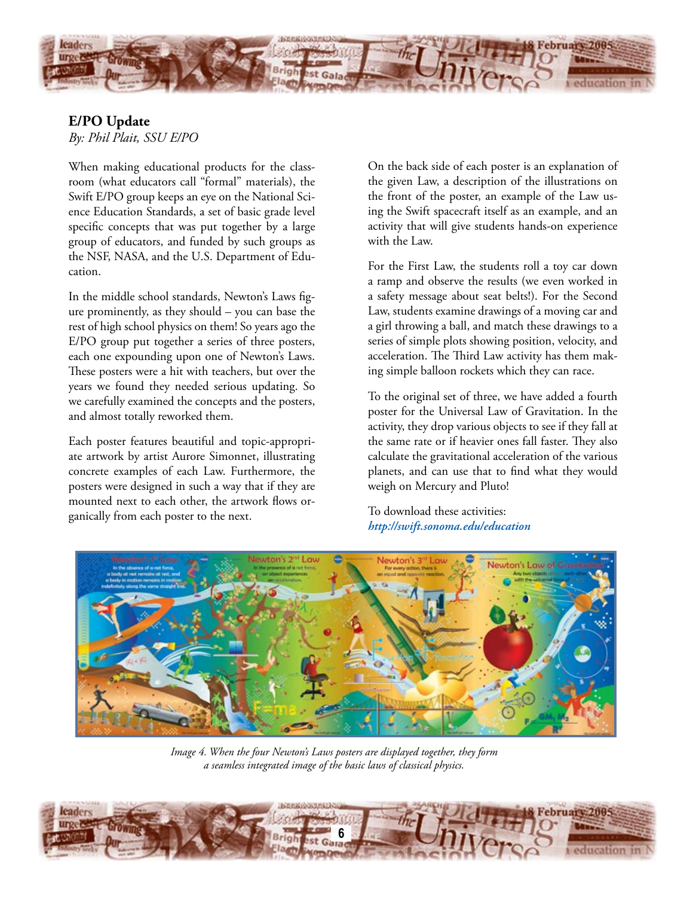

### **E/PO Update** *By: Phil Plait, SSU E/PO*

When making educational products for the classroom (what educators call "formal" materials), the Swift E/PO group keeps an eye on the National Science Education Standards, a set of basic grade level specific concepts that was put together by a large group of educators, and funded by such groups as the NSF, NASA, and the U.S. Department of Education.

In the middle school standards, Newton's Laws figure prominently, as they should – you can base the rest of high school physics on them! So years ago the E/PO group put together a series of three posters, each one expounding upon one of Newton's Laws. These posters were a hit with teachers, but over the years we found they needed serious updating. So we carefully examined the concepts and the posters, and almost totally reworked them.

Each poster features beautiful and topic-appropriate artwork by artist Aurore Simonnet, illustrating concrete examples of each Law. Furthermore, the posters were designed in such a way that if they are mounted next to each other, the artwork flows organically from each poster to the next.

On the back side of each poster is an explanation of the given Law, a description of the illustrations on the front of the poster, an example of the Law using the Swift spacecraft itself as an example, and an activity that will give students hands-on experience with the Law.

For the First Law, the students roll a toy car down a ramp and observe the results (we even worked in a safety message about seat belts!). For the Second Law, students examine drawings of a moving car and a girl throwing a ball, and match these drawings to a series of simple plots showing position, velocity, and acceleration. The Third Law activity has them making simple balloon rockets which they can race.

To the original set of three, we have added a fourth poster for the Universal Law of Gravitation. In the activity, they drop various objects to see if they fall at the same rate or if heavier ones fall faster. They also calculate the gravitational acceleration of the various planets, and can use that to find what they would weigh on Mercury and Pluto!

To download these activities: *http://swift.sonoma.edu/education*



*Image 4. When the four Newton's Laws posters are displayed together, they form a seamless integrated image of the basic laws of classical physics.*

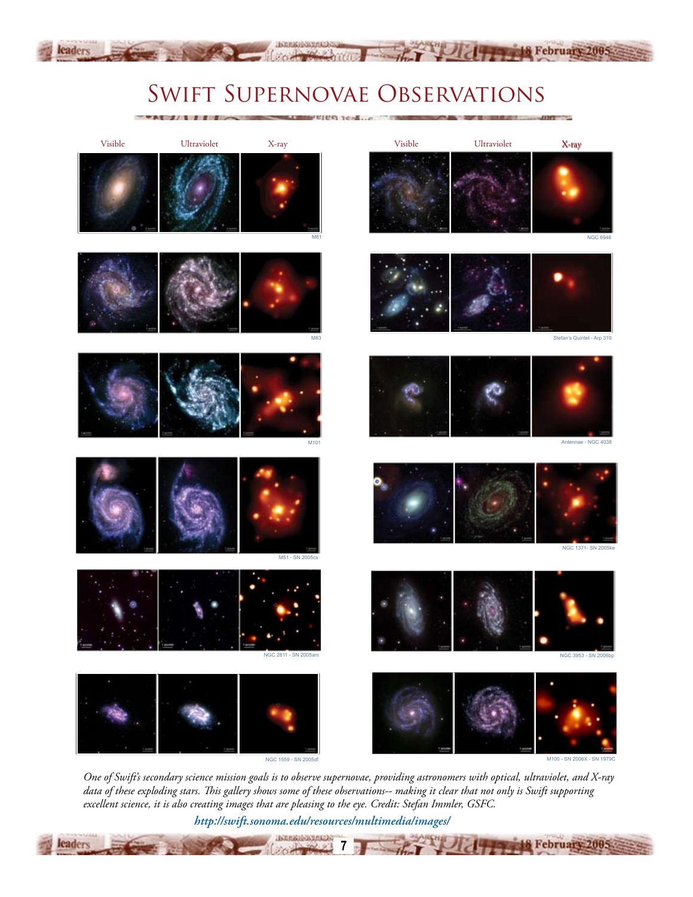# Swift Supernovae Observations

18 February 200

**8 February 2005** 

お月に近いのでは(1)

leaders

leaders



*One of Swift's secondary science mission goals is to observe supernovae, providing astronomers with optical, ultraviolet, and X-ray data of these exploding stars. This gallery shows some of these observations-- making it clear that not only is Swift supporting excellent science, it is also creating images that are pleasing to the eye. Credit: Stefan Immler, GSFC.*

**7**

*http://swift.sonoma.edu/resources/multimedia/images/*

ЛЕДИКОЗИЛОВ:

 $20 -$